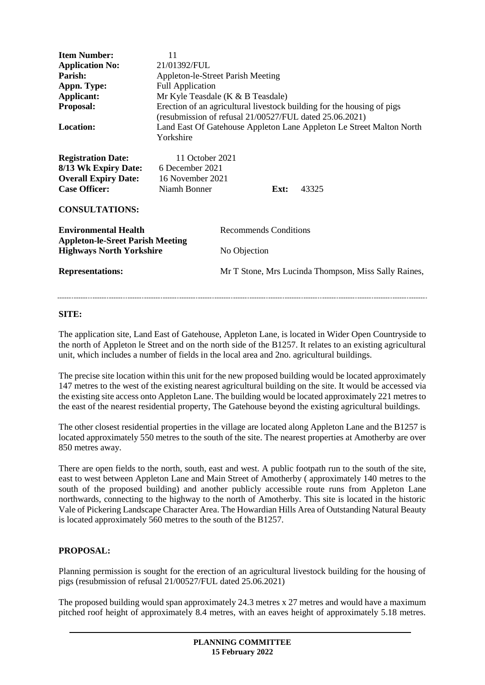| <b>Item Number:</b><br><b>Application No:</b><br>Parish:<br>Appn. Type:<br>Applicant:<br>Proposal:<br><b>Location:</b>               | 11<br>21/01392/FUL<br><b>Appleton-le-Street Parish Meeting</b><br><b>Full Application</b><br>Mr Kyle Teasdale (K & B Teasdale)<br>Erection of an agricultural livestock building for the housing of pigs<br>(resubmission of refusal 21/00527/FUL dated 25.06.2021)<br>Land East Of Gatehouse Appleton Lane Appleton Le Street Malton North<br>Yorkshire |                                                                                                      |      |       |
|--------------------------------------------------------------------------------------------------------------------------------------|----------------------------------------------------------------------------------------------------------------------------------------------------------------------------------------------------------------------------------------------------------------------------------------------------------------------------------------------------------|------------------------------------------------------------------------------------------------------|------|-------|
| <b>Registration Date:</b><br>8/13 Wk Expiry Date:<br><b>Overall Expiry Date:</b><br><b>Case Officer:</b><br><b>CONSULTATIONS:</b>    | 11 October 2021<br>6 December 2021<br>16 November 2021<br>Niamh Bonner                                                                                                                                                                                                                                                                                   |                                                                                                      | Ext: | 43325 |
| <b>Environmental Health</b><br><b>Appleton-le-Sreet Parish Meeting</b><br><b>Highways North Yorkshire</b><br><b>Representations:</b> |                                                                                                                                                                                                                                                                                                                                                          | <b>Recommends Conditions</b><br>No Objection<br>Mr T Stone, Mrs Lucinda Thompson, Miss Sally Raines, |      |       |

## **SITE:**

The application site, Land East of Gatehouse, Appleton Lane, is located in Wider Open Countryside to the north of Appleton le Street and on the north side of the B1257. It relates to an existing agricultural unit, which includes a number of fields in the local area and 2no. agricultural buildings.

The precise site location within this unit for the new proposed building would be located approximately 147 metres to the west of the existing nearest agricultural building on the site. It would be accessed via the existing site access onto Appleton Lane. The building would be located approximately 221 metres to the east of the nearest residential property, The Gatehouse beyond the existing agricultural buildings.

The other closest residential properties in the village are located along Appleton Lane and the B1257 is located approximately 550 metres to the south of the site. The nearest properties at Amotherby are over 850 metres away.

There are open fields to the north, south, east and west. A public footpath run to the south of the site, east to west between Appleton Lane and Main Street of Amotherby ( approximately 140 metres to the south of the proposed building) and another publicly accessible route runs from Appleton Lane northwards, connecting to the highway to the north of Amotherby. This site is located in the historic Vale of Pickering Landscape Character Area. The Howardian Hills Area of Outstanding Natural Beauty is located approximately 560 metres to the south of the B1257.

## **PROPOSAL:**

Planning permission is sought for the erection of an agricultural livestock building for the housing of pigs (resubmission of refusal 21/00527/FUL dated 25.06.2021)

The proposed building would span approximately 24.3 metres x 27 metres and would have a maximum pitched roof height of approximately 8.4 metres, with an eaves height of approximately 5.18 metres.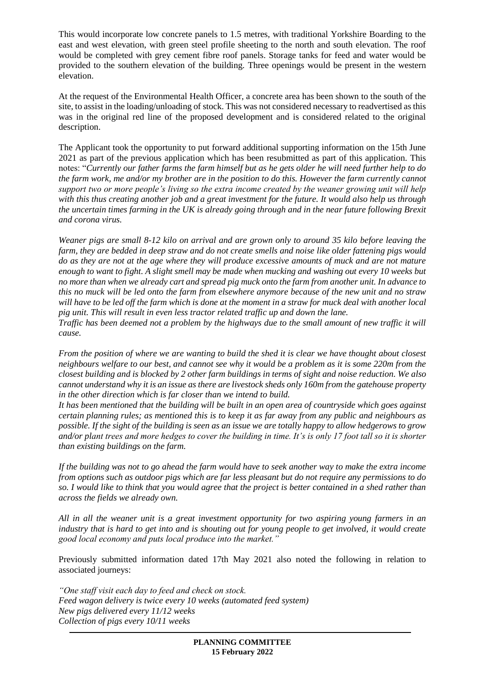This would incorporate low concrete panels to 1.5 metres, with traditional Yorkshire Boarding to the east and west elevation, with green steel profile sheeting to the north and south elevation. The roof would be completed with grey cement fibre roof panels. Storage tanks for feed and water would be provided to the southern elevation of the building. Three openings would be present in the western elevation.

At the request of the Environmental Health Officer, a concrete area has been shown to the south of the site, to assist in the loading/unloading of stock. This was not considered necessary to readvertised as this was in the original red line of the proposed development and is considered related to the original description.

The Applicant took the opportunity to put forward additional supporting information on the 15th June 2021 as part of the previous application which has been resubmitted as part of this application. This notes: "*Currently our father farms the farm himself but as he gets older he will need further help to do the farm work, me and/or my brother are in the position to do this. However the farm currently cannot support two or more people's living so the extra income created by the weaner growing unit will help with this thus creating another job and a great investment for the future. It would also help us through the uncertain times farming in the UK is already going through and in the near future following Brexit and corona virus.*

*Weaner pigs are small 8-12 kilo on arrival and are grown only to around 35 kilo before leaving the farm, they are bedded in deep straw and do not create smells and noise like older fattening pigs would do as they are not at the age where they will produce excessive amounts of muck and are not mature enough to want to fight. A slight smell may be made when mucking and washing out every 10 weeks but no more than when we already cart and spread pig muck onto the farm from another unit. In advance to this no muck will be led onto the farm from elsewhere anymore because of the new unit and no straw will have to be led off the farm which is done at the moment in a straw for muck deal with another local pig unit. This will result in even less tractor related traffic up and down the lane.*

*Traffic has been deemed not a problem by the highways due to the small amount of new traffic it will cause.*

*From the position of where we are wanting to build the shed it is clear we have thought about closest neighbours welfare to our best, and cannot see why it would be a problem as it is some 220m from the closest building and is blocked by 2 other farm buildings in terms of sight and noise reduction. We also cannot understand why it is an issue as there are livestock sheds only 160m from the gatehouse property in the other direction which is far closer than we intend to build.*

*It has been mentioned that the building will be built in an open area of countryside which goes against certain planning rules; as mentioned this is to keep it as far away from any public and neighbours as possible. If the sight of the building is seen as an issue we are totally happy to allow hedgerows to grow and/or plant trees and more hedges to cover the building in time. It's is only 17 foot tall so it is shorter than existing buildings on the farm.*

*If the building was not to go ahead the farm would have to seek another way to make the extra income from options such as outdoor pigs which are far less pleasant but do not require any permissions to do so. I would like to think that you would agree that the project is better contained in a shed rather than across the fields we already own.*

*All in all the weaner unit is a great investment opportunity for two aspiring young farmers in an industry that is hard to get into and is shouting out for young people to get involved, it would create good local economy and puts local produce into the market."*

Previously submitted information dated 17th May 2021 also noted the following in relation to associated journeys:

*"One staff visit each day to feed and check on stock. Feed wagon delivery is twice every 10 weeks (automated feed system) New pigs delivered every 11/12 weeks Collection of pigs every 10/11 weeks*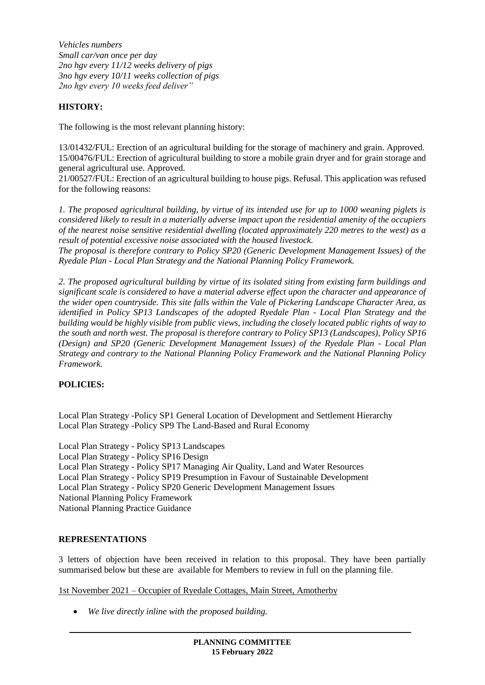*Vehicles numbers Small car/van once per day 2no hgv every 11/12 weeks delivery of pigs 3no hgv every 10/11 weeks collection of pigs 2no hgv every 10 weeks feed deliver"*

# **HISTORY:**

The following is the most relevant planning history:

13/01432/FUL: Erection of an agricultural building for the storage of machinery and grain. Approved. 15/00476/FUL: Erection of agricultural building to store a mobile grain dryer and for grain storage and general agricultural use. Approved.

21/00527/FUL: Erection of an agricultural building to house pigs. Refusal. This application was refused for the following reasons:

*1. The proposed agricultural building, by virtue of its intended use for up to 1000 weaning piglets is considered likely to result in a materially adverse impact upon the residential amenity of the occupiers of the nearest noise sensitive residential dwelling (located approximately 220 metres to the west) as a result of potential excessive noise associated with the housed livestock.* 

*The proposal is therefore contrary to Policy SP20 (Generic Development Management Issues) of the Ryedale Plan - Local Plan Strategy and the National Planning Policy Framework.*

*2. The proposed agricultural building by virtue of its isolated siting from existing farm buildings and significant scale is considered to have a material adverse effect upon the character and appearance of the wider open countryside. This site falls within the Vale of Pickering Landscape Character Area, as identified in Policy SP13 Landscapes of the adopted Ryedale Plan - Local Plan Strategy and the building would be highly visible from public views, including the closely located public rights of way to the south and north west. The proposal is therefore contrary to Policy SP13 (Landscapes), Policy SP16 (Design) and SP20 (Generic Development Management Issues) of the Ryedale Plan - Local Plan Strategy and contrary to the National Planning Policy Framework and the National Planning Policy Framework.*

## **POLICIES:**

Local Plan Strategy -Policy SP1 General Location of Development and Settlement Hierarchy Local Plan Strategy -Policy SP9 The Land-Based and Rural Economy

Local Plan Strategy - Policy SP13 Landscapes Local Plan Strategy - Policy SP16 Design Local Plan Strategy - Policy SP17 Managing Air Quality, Land and Water Resources Local Plan Strategy - Policy SP19 Presumption in Favour of Sustainable Development Local Plan Strategy - Policy SP20 Generic Development Management Issues National Planning Policy Framework National Planning Practice Guidance

## **REPRESENTATIONS**

3 letters of objection have been received in relation to this proposal. They have been partially summarised below but these are available for Members to review in full on the planning file.

1st November 2021 – Occupier of Ryedale Cottages, Main Street, Amotherby

*We live directly inline with the proposed building.*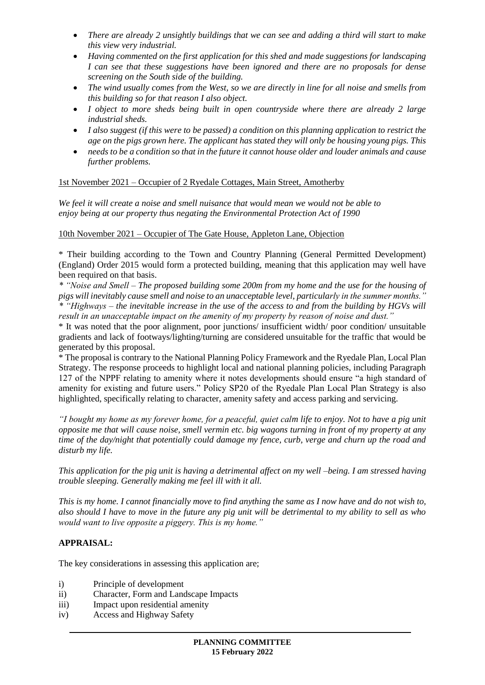- *There are already 2 unsightly buildings that we can see and adding a third will start to make this view very industrial.*
- *Having commented on the first application for this shed and made suggestions for landscaping I can see that these suggestions have been ignored and there are no proposals for dense screening on the South side of the building.*
- *The wind usually comes from the West, so we are directly in line for all noise and smells from this building so for that reason I also object.*
- *I object to more sheds being built in open countryside where there are already 2 large industrial sheds.*
- *I also suggest (if this were to be passed) a condition on this planning application to restrict the age on the pigs grown here. The applicant has stated they will only be housing young pigs. This*
- *needs to be a condition so that in the future it cannot house older and louder animals and cause further problems.*

## 1st November 2021 – Occupier of 2 Ryedale Cottages, Main Street, Amotherby

*We feel it will create a noise and smell nuisance that would mean we would not be able to enjoy being at our property thus negating the Environmental Protection Act of 1990*

### 10th November 2021 – Occupier of The Gate House, Appleton Lane, Objection

\* Their building according to the Town and Country Planning (General Permitted Development) (England) Order 2015 would form a protected building, meaning that this application may well have been required on that basis.

*\* "Noise and Smell – The proposed building some 200m from my home and the use for the housing of pigs will inevitably cause smell and noise to an unacceptable level, particularly in the summer months." \* "Highways – the inevitable increase in the use of the access to and from the building by HGVs will result in an unacceptable impact on the amenity of my property by reason of noise and dust."*

\* It was noted that the poor alignment, poor junctions/ insufficient width/ poor condition/ unsuitable gradients and lack of footways/lighting/turning are considered unsuitable for the traffic that would be generated by this proposal.

\* The proposal is contrary to the National Planning Policy Framework and the Ryedale Plan, Local Plan Strategy. The response proceeds to highlight local and national planning policies, including Paragraph 127 of the NPPF relating to amenity where it notes developments should ensure "a high standard of amenity for existing and future users." Policy SP20 of the Ryedale Plan Local Plan Strategy is also highlighted, specifically relating to character, amenity safety and access parking and servicing.

*"I bought my home as my forever home, for a peaceful, quiet calm life to enjoy. Not to have a pig unit opposite me that will cause noise, smell vermin etc. big wagons turning in front of my property at any time of the day/night that potentially could damage my fence, curb, verge and churn up the road and disturb my life.* 

*This application for the pig unit is having a detrimental affect on my well –being. I am stressed having trouble sleeping. Generally making me feel ill with it all.* 

*This is my home. I cannot financially move to find anything the same as I now have and do not wish to, also should I have to move in the future any pig unit will be detrimental to my ability to sell as who would want to live opposite a piggery. This is my home."*

## **APPRAISAL:**

The key considerations in assessing this application are;

- i) Principle of development
- ii) Character, Form and Landscape Impacts
- iii) Impact upon residential amenity
- iv) Access and Highway Safety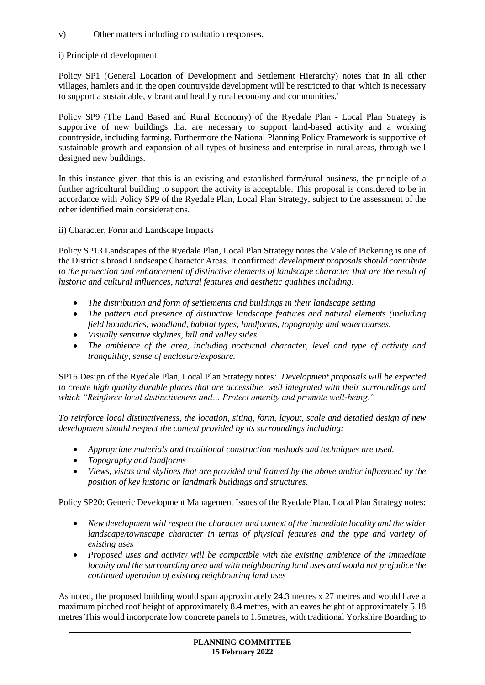## v) Other matters including consultation responses.

## i) Principle of development

Policy SP1 (General Location of Development and Settlement Hierarchy) notes that in all other villages, hamlets and in the open countryside development will be restricted to that 'which is necessary to support a sustainable, vibrant and healthy rural economy and communities.'

Policy SP9 (The Land Based and Rural Economy) of the Ryedale Plan - Local Plan Strategy is supportive of new buildings that are necessary to support land-based activity and a working countryside, including farming. Furthermore the National Planning Policy Framework is supportive of sustainable growth and expansion of all types of business and enterprise in rural areas, through well designed new buildings.

In this instance given that this is an existing and established farm/rural business, the principle of a further agricultural building to support the activity is acceptable. This proposal is considered to be in accordance with Policy SP9 of the Ryedale Plan, Local Plan Strategy, subject to the assessment of the other identified main considerations.

ii) Character, Form and Landscape Impacts

Policy SP13 Landscapes of the Ryedale Plan, Local Plan Strategy notes the Vale of Pickering is one of the District's broad Landscape Character Areas. It confirmed: *development proposals should contribute to the protection and enhancement of distinctive elements of landscape character that are the result of historic and cultural influences, natural features and aesthetic qualities including:*

- *The distribution and form of settlements and buildings in their landscape setting*
- *The pattern and presence of distinctive landscape features and natural elements (including field boundaries, woodland, habitat types, landforms, topography and watercourses.*
- *Visually sensitive skylines, hill and valley sides.*
- *The ambience of the area, including nocturnal character, level and type of activity and tranquillity, sense of enclosure/exposure.*

SP16 Design of the Ryedale Plan, Local Plan Strategy notes*: Development proposals will be expected to create high quality durable places that are accessible, well integrated with their surroundings and which "Reinforce local distinctiveness and… Protect amenity and promote well-being."*

*To reinforce local distinctiveness, the location, siting, form, layout, scale and detailed design of new development should respect the context provided by its surroundings including:*

- *Appropriate materials and traditional construction methods and techniques are used.*
- *Topography and landforms*
- *Views, vistas and skylines that are provided and framed by the above and/or influenced by the position of key historic or landmark buildings and structures.*

Policy SP20: Generic Development Management Issues of the Ryedale Plan, Local Plan Strategy notes:

- *New development will respect the character and context of the immediate locality and the wider landscape/townscape character in terms of physical features and the type and variety of existing uses*
- *Proposed uses and activity will be compatible with the existing ambience of the immediate locality and the surrounding area and with neighbouring land uses and would not prejudice the continued operation of existing neighbouring land uses*

As noted, the proposed building would span approximately 24.3 metres x 27 metres and would have a maximum pitched roof height of approximately 8.4 metres, with an eaves height of approximately 5.18 metres This would incorporate low concrete panels to 1.5metres, with traditional Yorkshire Boarding to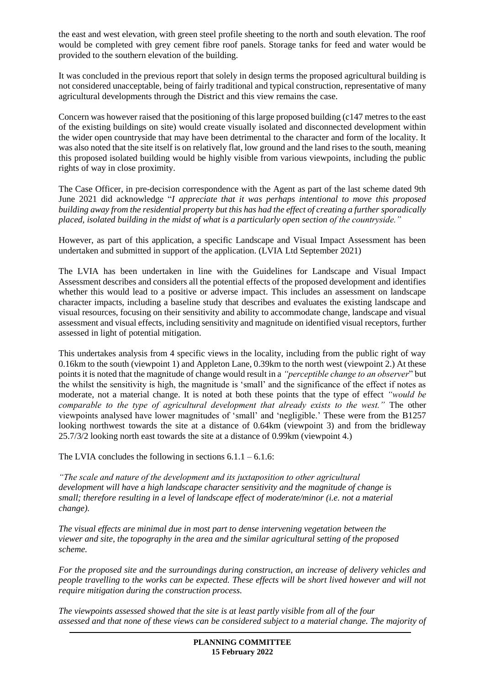the east and west elevation, with green steel profile sheeting to the north and south elevation. The roof would be completed with grey cement fibre roof panels. Storage tanks for feed and water would be provided to the southern elevation of the building.

It was concluded in the previous report that solely in design terms the proposed agricultural building is not considered unacceptable, being of fairly traditional and typical construction, representative of many agricultural developments through the District and this view remains the case.

Concern was however raised that the positioning of this large proposed building (c147 metres to the east of the existing buildings on site) would create visually isolated and disconnected development within the wider open countryside that may have been detrimental to the character and form of the locality. It was also noted that the site itself is on relatively flat, low ground and the land rises to the south, meaning this proposed isolated building would be highly visible from various viewpoints, including the public rights of way in close proximity.

The Case Officer, in pre-decision correspondence with the Agent as part of the last scheme dated 9th June 2021 did acknowledge "*I appreciate that it was perhaps intentional to move this proposed building away from the residential property but this has had the effect of creating a further sporadically placed, isolated building in the midst of what is a particularly open section of the countryside."*

However, as part of this application, a specific Landscape and Visual Impact Assessment has been undertaken and submitted in support of the application. (LVIA Ltd September 2021)

The LVIA has been undertaken in line with the Guidelines for Landscape and Visual Impact Assessment describes and considers all the potential effects of the proposed development and identifies whether this would lead to a positive or adverse impact. This includes an assessment on landscape character impacts, including a baseline study that describes and evaluates the existing landscape and visual resources, focusing on their sensitivity and ability to accommodate change, landscape and visual assessment and visual effects, including sensitivity and magnitude on identified visual receptors, further assessed in light of potential mitigation.

This undertakes analysis from 4 specific views in the locality, including from the public right of way 0.16km to the south (viewpoint 1) and Appleton Lane, 0.39km to the north west (viewpoint 2.) At these points it is noted that the magnitude of change would result in a *"perceptible change to an observer*" but the whilst the sensitivity is high, the magnitude is 'small' and the significance of the effect if notes as moderate, not a material change. It is noted at both these points that the type of effect *"would be comparable to the type of agricultural development that already exists to the west."* The other viewpoints analysed have lower magnitudes of 'small' and 'negligible.' These were from the B1257 looking northwest towards the site at a distance of 0.64km (viewpoint 3) and from the bridleway 25.7/3/2 looking north east towards the site at a distance of 0.99km (viewpoint 4.)

The LVIA concludes the following in sections  $6.1.1 - 6.1.6$ :

*"The scale and nature of the development and its juxtaposition to other agricultural development will have a high landscape character sensitivity and the magnitude of change is small; therefore resulting in a level of landscape effect of moderate/minor (i.e. not a material change).*

*The visual effects are minimal due in most part to dense intervening vegetation between the viewer and site, the topography in the area and the similar agricultural setting of the proposed scheme.*

*For the proposed site and the surroundings during construction, an increase of delivery vehicles and people travelling to the works can be expected. These effects will be short lived however and will not require mitigation during the construction process.*

*The viewpoints assessed showed that the site is at least partly visible from all of the four assessed and that none of these views can be considered subject to a material change. The majority of*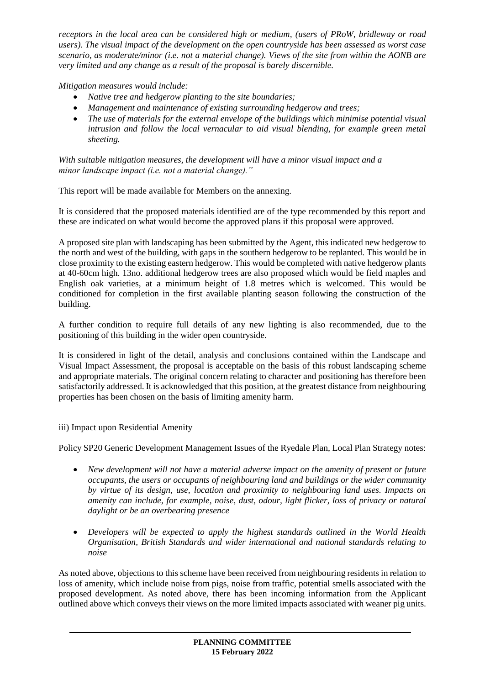*receptors in the local area can be considered high or medium, (users of PRoW, bridleway or road users). The visual impact of the development on the open countryside has been assessed as worst case scenario, as moderate/minor (i.e. not a material change). Views of the site from within the AONB are very limited and any change as a result of the proposal is barely discernible.*

*Mitigation measures would include:*

- *Native tree and hedgerow planting to the site boundaries;*
- *Management and maintenance of existing surrounding hedgerow and trees;*
- *The use of materials for the external envelope of the buildings which minimise potential visual intrusion and follow the local vernacular to aid visual blending, for example green metal sheeting.*

*With suitable mitigation measures, the development will have a minor visual impact and a minor landscape impact (i.e. not a material change)."*

This report will be made available for Members on the annexing.

It is considered that the proposed materials identified are of the type recommended by this report and these are indicated on what would become the approved plans if this proposal were approved.

A proposed site plan with landscaping has been submitted by the Agent, this indicated new hedgerow to the north and west of the building, with gaps in the southern hedgerow to be replanted. This would be in close proximity to the existing eastern hedgerow. This would be completed with native hedgerow plants at 40-60cm high. 13no. additional hedgerow trees are also proposed which would be field maples and English oak varieties, at a minimum height of 1.8 metres which is welcomed. This would be conditioned for completion in the first available planting season following the construction of the building.

A further condition to require full details of any new lighting is also recommended, due to the positioning of this building in the wider open countryside.

It is considered in light of the detail, analysis and conclusions contained within the Landscape and Visual Impact Assessment, the proposal is acceptable on the basis of this robust landscaping scheme and appropriate materials. The original concern relating to character and positioning has therefore been satisfactorily addressed. It is acknowledged that this position, at the greatest distance from neighbouring properties has been chosen on the basis of limiting amenity harm.

iii) Impact upon Residential Amenity

Policy SP20 Generic Development Management Issues of the Ryedale Plan, Local Plan Strategy notes:

- *New development will not have a material adverse impact on the amenity of present or future occupants, the users or occupants of neighbouring land and buildings or the wider community by virtue of its design, use, location and proximity to neighbouring land uses. Impacts on amenity can include, for example, noise, dust, odour, light flicker, loss of privacy or natural daylight or be an overbearing presence*
- *Developers will be expected to apply the highest standards outlined in the World Health Organisation, British Standards and wider international and national standards relating to noise*

As noted above, objections to this scheme have been received from neighbouring residents in relation to loss of amenity, which include noise from pigs, noise from traffic, potential smells associated with the proposed development. As noted above, there has been incoming information from the Applicant outlined above which conveys their views on the more limited impacts associated with weaner pig units.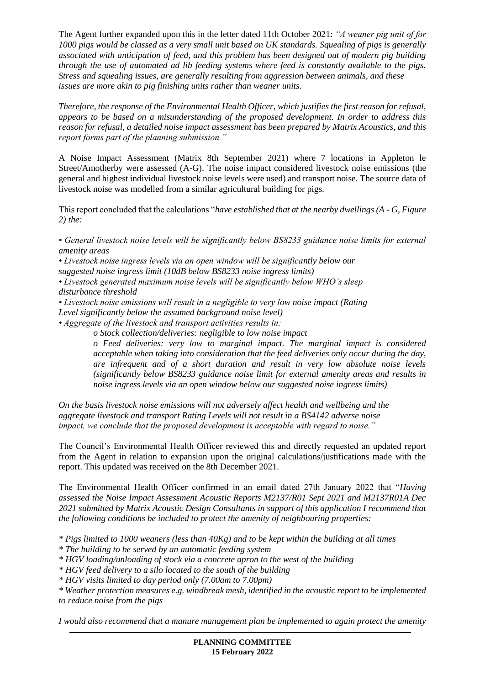The Agent further expanded upon this in the letter dated 11th October 2021: *"A weaner pig unit of for 1000 pigs would be classed as a very small unit based on UK standards. Squealing of pigs is generally associated with anticipation of feed, and this problem has been designed out of modern pig building through the use of automated ad lib feeding systems where feed is constantly available to the pigs. Stress and squealing issues, are generally resulting from aggression between animals, and these issues are more akin to pig finishing units rather than weaner units.*

*Therefore, the response of the Environmental Health Officer, which justifies the first reason for refusal, appears to be based on a misunderstanding of the proposed development. In order to address this reason for refusal, a detailed noise impact assessment has been prepared by Matrix Acoustics, and this report forms part of the planning submission."*

A Noise Impact Assessment (Matrix 8th September 2021) where 7 locations in Appleton le Street/Amotherby were assessed (A-G). The noise impact considered livestock noise emissions (the general and highest individual livestock noise levels were used) and transport noise. The source data of livestock noise was modelled from a similar agricultural building for pigs.

This report concluded that the calculations "*have established that at the nearby dwellings (A - G, Figure 2) the:*

*• General livestock noise levels will be significantly below BS8233 guidance noise limits for external amenity areas* 

*• Livestock noise ingress levels via an open window will be significantly below our*

*suggested noise ingress limit (10dB below BS8233 noise ingress limits)*

*• Livestock generated maximum noise levels will be significantly below WHO's sleep disturbance threshold*

*• Livestock noise emissions will result in a negligible to very low noise impact (Rating*

*Level significantly below the assumed background noise level)*

*• Aggregate of the livestock and transport activities results in:*

 *o Stock collection/deliveries: negligible to low noise impact*

*o Feed deliveries: very low to marginal impact. The marginal impact is considered acceptable when taking into consideration that the feed deliveries only occur during the day, are infrequent and of a short duration and result in very low absolute noise levels (significantly below BS8233 guidance noise limit for external amenity areas and results in noise ingress levels via an open window below our suggested noise ingress limits)*

*On the basis livestock noise emissions will not adversely affect health and wellbeing and the aggregate livestock and transport Rating Levels will not result in a BS4142 adverse noise impact, we conclude that the proposed development is acceptable with regard to noise."*

The Council's Environmental Health Officer reviewed this and directly requested an updated report from the Agent in relation to expansion upon the original calculations/justifications made with the report. This updated was received on the 8th December 2021.

The Environmental Health Officer confirmed in an email dated 27th January 2022 that "*Having assessed the Noise Impact Assessment Acoustic Reports M2137/R01 Sept 2021 and M2137R01A Dec 2021 submitted by Matrix Acoustic Design Consultants in support of this application I recommend that the following conditions be included to protect the amenity of neighbouring properties:*

*\* Pigs limited to 1000 weaners (less than 40Kg) and to be kept within the building at all times*

*\* The building to be served by an automatic feeding system*

*\* HGV loading/unloading of stock via a concrete apron to the west of the building*

*\* HGV feed delivery to a silo located to the south of the building*

*\* HGV visits limited to day period only (7.00am to 7.00pm)*

*\* Weather protection measures e.g. windbreak mesh, identified in the acoustic report to be implemented to reduce noise from the pigs*

*I would also recommend that a manure management plan be implemented to again protect the amenity*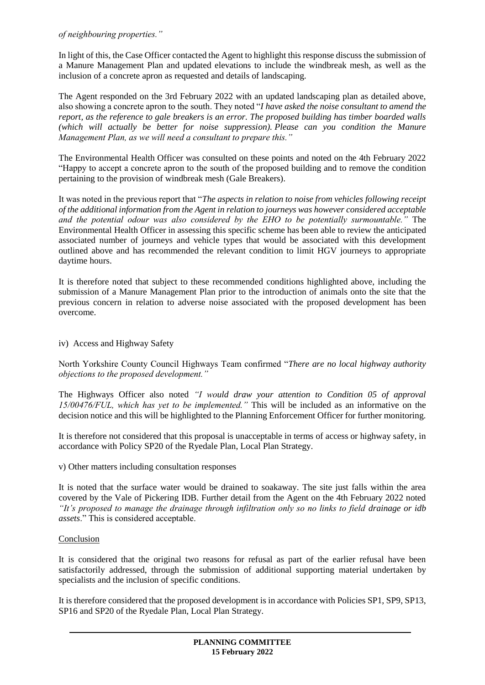### *of neighbouring properties."*

In light of this, the Case Officer contacted the Agent to highlight this response discuss the submission of a Manure Management Plan and updated elevations to include the windbreak mesh, as well as the inclusion of a concrete apron as requested and details of landscaping.

The Agent responded on the 3rd February 2022 with an updated landscaping plan as detailed above, also showing a concrete apron to the south. They noted "*I have asked the noise consultant to amend the report, as the reference to gale breakers is an error. The proposed building has timber boarded walls (which will actually be better for noise suppression). Please can you condition the Manure Management Plan, as we will need a consultant to prepare this."*

The Environmental Health Officer was consulted on these points and noted on the 4th February 2022 "Happy to accept a concrete apron to the south of the proposed building and to remove the condition pertaining to the provision of windbreak mesh (Gale Breakers).

It was noted in the previous report that "*The aspects in relation to noise from vehicles following receipt of the additional information from the Agent in relation to journeys was however considered acceptable and the potential odour was also considered by the EHO to be potentially surmountable."* The Environmental Health Officer in assessing this specific scheme has been able to review the anticipated associated number of journeys and vehicle types that would be associated with this development outlined above and has recommended the relevant condition to limit HGV journeys to appropriate daytime hours.

It is therefore noted that subject to these recommended conditions highlighted above, including the submission of a Manure Management Plan prior to the introduction of animals onto the site that the previous concern in relation to adverse noise associated with the proposed development has been overcome.

## iv) Access and Highway Safety

North Yorkshire County Council Highways Team confirmed "*There are no local highway authority objections to the proposed development."*

The Highways Officer also noted *"I would draw your attention to Condition 05 of approval 15/00476/FUL, which has yet to be implemented."* This will be included as an informative on the decision notice and this will be highlighted to the Planning Enforcement Officer for further monitoring.

It is therefore not considered that this proposal is unacceptable in terms of access or highway safety, in accordance with Policy SP20 of the Ryedale Plan, Local Plan Strategy.

v) Other matters including consultation responses

It is noted that the surface water would be drained to soakaway. The site just falls within the area covered by the Vale of Pickering IDB. Further detail from the Agent on the 4th February 2022 noted *"It's proposed to manage the drainage through infiltration only so no links to field drainage or idb assets*." This is considered acceptable.

## Conclusion

It is considered that the original two reasons for refusal as part of the earlier refusal have been satisfactorily addressed, through the submission of additional supporting material undertaken by specialists and the inclusion of specific conditions.

It is therefore considered that the proposed development is in accordance with Policies SP1, SP9, SP13, SP16 and SP20 of the Ryedale Plan, Local Plan Strategy.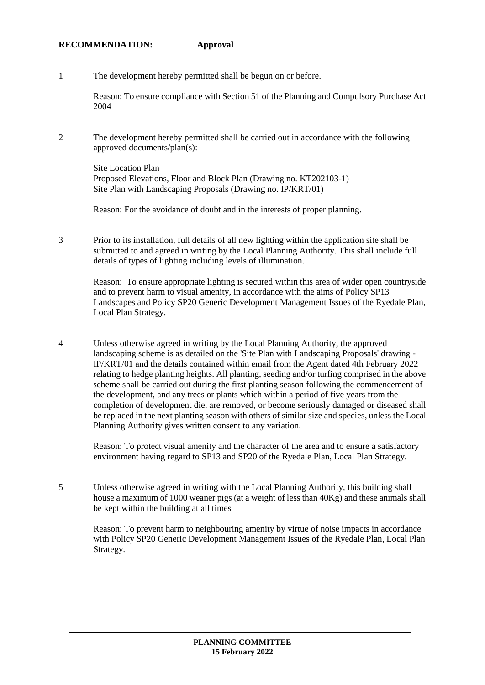#### **RECOMMENDATION: Approval**

1 The development hereby permitted shall be begun on or before.

Reason: To ensure compliance with Section 51 of the Planning and Compulsory Purchase Act 2004

2 The development hereby permitted shall be carried out in accordance with the following approved documents/plan(s):

Site Location Plan Proposed Elevations, Floor and Block Plan (Drawing no. KT202103-1) Site Plan with Landscaping Proposals (Drawing no. IP/KRT/01)

Reason: For the avoidance of doubt and in the interests of proper planning.

3 Prior to its installation, full details of all new lighting within the application site shall be submitted to and agreed in writing by the Local Planning Authority. This shall include full details of types of lighting including levels of illumination.

Reason: To ensure appropriate lighting is secured within this area of wider open countryside and to prevent harm to visual amenity, in accordance with the aims of Policy SP13 Landscapes and Policy SP20 Generic Development Management Issues of the Ryedale Plan, Local Plan Strategy.

4 Unless otherwise agreed in writing by the Local Planning Authority, the approved landscaping scheme is as detailed on the 'Site Plan with Landscaping Proposals' drawing - IP/KRT/01 and the details contained within email from the Agent dated 4th February 2022 relating to hedge planting heights. All planting, seeding and/or turfing comprised in the above scheme shall be carried out during the first planting season following the commencement of the development, and any trees or plants which within a period of five years from the completion of development die, are removed, or become seriously damaged or diseased shall be replaced in the next planting season with others of similar size and species, unless the Local Planning Authority gives written consent to any variation.

Reason: To protect visual amenity and the character of the area and to ensure a satisfactory environment having regard to SP13 and SP20 of the Ryedale Plan, Local Plan Strategy.

5 Unless otherwise agreed in writing with the Local Planning Authority, this building shall house a maximum of 1000 weaner pigs (at a weight of less than 40Kg) and these animals shall be kept within the building at all times

Reason: To prevent harm to neighbouring amenity by virtue of noise impacts in accordance with Policy SP20 Generic Development Management Issues of the Ryedale Plan, Local Plan Strategy.